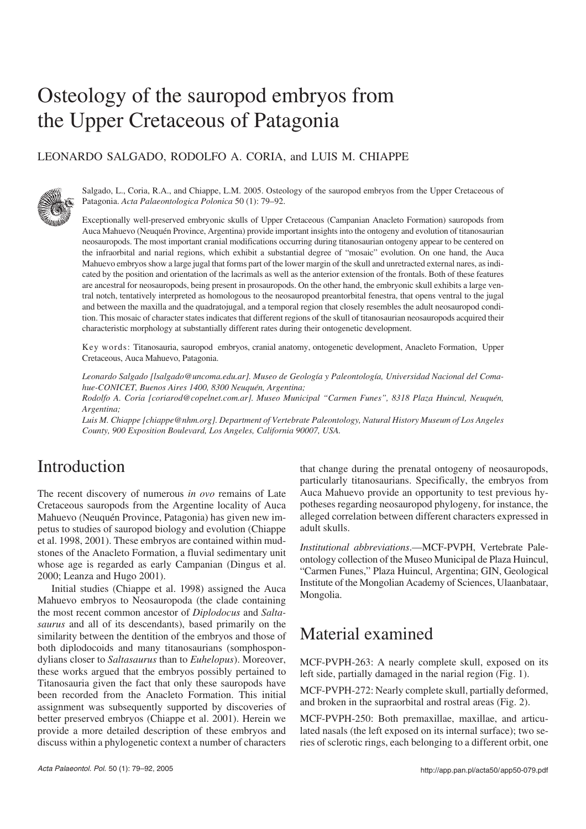# Osteology of the sauropod embryos from the Upper Cretaceous of Patagonia

### LEONARDO SALGADO, RODOLFO A. CORIA, and LUIS M. CHIAPPE



Salgado, L., Coria, R.A., and Chiappe, L.M. 2005. Osteology of the sauropod embryos from the Upper Cretaceous of Patagonia. *Acta Palaeontologica Polonica* 50 (1): 79–92.

Exceptionally well−preserved embryonic skulls of Upper Cretaceous (Campanian Anacleto Formation) sauropods from Auca Mahuevo (Neuquén Province, Argentina) provide important insights into the ontogeny and evolution of titanosaurian neosauropods. The most important cranial modifications occurring during titanosaurian ontogeny appear to be centered on the infraorbital and narial regions, which exhibit a substantial degree of "mosaic" evolution. On one hand, the Auca Mahuevo embryos show a large jugal that forms part of the lower margin of the skull and unretracted external nares, as indi− cated by the position and orientation of the lacrimals as well as the anterior extension of the frontals. Both of these features are ancestral for neosauropods, being present in prosauropods. On the other hand, the embryonic skull exhibits a large ven− tral notch, tentatively interpreted as homologous to the neosauropod preantorbital fenestra, that opens ventral to the jugal and between the maxilla and the quadratojugal, and a temporal region that closely resembles the adult neosauropod condi− tion. This mosaic of character states indicates that different regions of the skull of titanosaurian neosauropods acquired their characteristic morphology at substantially different rates during their ontogenetic development.

Key words: Titanosauria, sauropod embryos, cranial anatomy, ontogenetic development, Anacleto Formation, Upper Cretaceous, Auca Mahuevo, Patagonia.

*Leonardo Salgado [lsalgado@uncoma.edu.ar]. Museo de Geología y Paleontología, Universidad Nacional del Coma− hue−CONICET, Buenos Aires 1400, 8300 Neuquén, Argentina;*

*Rodolfo A. Coria [coriarod@copelnet.com.ar]. Museo Municipal "Carmen Funes", 8318 Plaza Huincul, Neuquén, Argentina;*

*Luis M. Chiappe [chiappe@nhm.org]. Department of Vertebrate Paleontology, Natural History Museum of Los Angeles County, 900 Exposition Boulevard, Los Angeles, California 90007, USA.*

## Introduction

The recent discovery of numerous *in ovo* remains of Late Cretaceous sauropods from the Argentine locality of Auca Mahuevo (Neuquén Province, Patagonia) has given new im− petus to studies of sauropod biology and evolution (Chiappe et al. 1998, 2001). These embryos are contained within mud− stones of the Anacleto Formation, a fluvial sedimentary unit whose age is regarded as early Campanian (Dingus et al. 2000; Leanza and Hugo 2001).

Initial studies (Chiappe et al. 1998) assigned the Auca Mahuevo embryos to Neosauropoda (the clade containing the most recent common ancestor of *Diplodocus* and *Salta− saurus* and all of its descendants), based primarily on the similarity between the dentition of the embryos and those of both diplodocoids and many titanosaurians (somphospon− dylians closer to *Saltasaurus* than to *Euhelopus*). Moreover, these works argued that the embryos possibly pertained to Titanosauria given the fact that only these sauropods have been recorded from the Anacleto Formation. This initial assignment was subsequently supported by discoveries of better preserved embryos (Chiappe et al. 2001). Herein we provide a more detailed description of these embryos and discuss within a phylogenetic context a number of characters that change during the prenatal ontogeny of neosauropods, particularly titanosaurians. Specifically, the embryos from Auca Mahuevo provide an opportunity to test previous hy− potheses regarding neosauropod phylogeny, for instance, the alleged correlation between different characters expressed in adult skulls.

*Institutional abbreviations*.—MCF−PVPH, Vertebrate Pale− ontology collection of the Museo Municipal de Plaza Huincul, "Carmen Funes," Plaza Huincul, Argentina; GIN, Geological Institute of the Mongolian Academy of Sciences, Ulaanbataar, Mongolia.

## Material examined

MCF−PVPH−263: A nearly complete skull, exposed on its left side, partially damaged in the narial region (Fig. 1).

MCF−PVPH−272: Nearly complete skull, partially deformed, and broken in the supraorbital and rostral areas (Fig. 2).

MCF−PVPH−250: Both premaxillae, maxillae, and articu− lated nasals (the left exposed on its internal surface); two se− ries of sclerotic rings, each belonging to a different orbit, one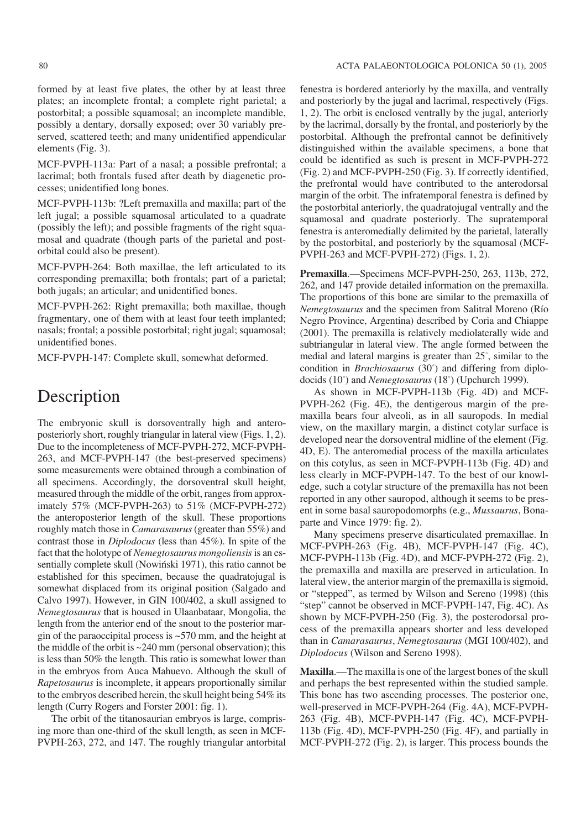formed by at least five plates, the other by at least three plates; an incomplete frontal; a complete right parietal; a postorbital; a possible squamosal; an incomplete mandible, possibly a dentary, dorsally exposed; over 30 variably pre− served, scattered teeth; and many unidentified appendicular elements (Fig. 3).

MCF−PVPH−113a: Part of a nasal; a possible prefrontal; a lacrimal; both frontals fused after death by diagenetic pro− cesses; unidentified long bones.

MCF−PVPH−113b: ?Left premaxilla and maxilla; part of the left jugal; a possible squamosal articulated to a quadrate (possibly the left); and possible fragments of the right squa− mosal and quadrate (though parts of the parietal and post− orbital could also be present).

MCF−PVPH−264: Both maxillae, the left articulated to its corresponding premaxilla; both frontals; part of a parietal; both jugals; an articular; and unidentified bones.

MCF−PVPH−262: Right premaxilla; both maxillae, though fragmentary, one of them with at least four teeth implanted; nasals; frontal; a possible postorbital; right jugal; squamosal; unidentified bones.

MCF−PVPH−147: Complete skull, somewhat deformed.

## **Description**

The embryonic skull is dorsoventrally high and antero− posteriorly short, roughly triangular in lateral view (Figs. 1, 2). Due to the incompleteness of MCF−PVPH−272, MCF−PVPH− 263, and MCF−PVPH−147 (the best−preserved specimens) some measurements were obtained through a combination of all specimens. Accordingly, the dorsoventral skull height, measured through the middle of the orbit, ranges from approx− imately 57% (MCF−PVPH−263) to 51% (MCF−PVPH−272) the anteroposterior length of the skull. These proportions roughly match those in *Camarasaurus*(greater than 55%) and contrast those in *Diplodocus* (less than 45%). In spite of the fact that the holotype of *Nemegtosaurus mongoliensis*is an es− sentially complete skull (Nowiński 1971), this ratio cannot be established for this specimen, because the quadratojugal is somewhat displaced from its original position (Salgado and Calvo 1997). However, in GIN 100/402, a skull assigned to *Nemegtosaurus* that is housed in Ulaanbataar, Mongolia, the length from the anterior end of the snout to the posterior mar− gin of the paraoccipital process is ~570 mm, and the height at the middle of the orbit is  $\sim$  240 mm (personal observation); this is less than 50% the length. This ratio is somewhat lower than in the embryos from Auca Mahuevo. Although the skull of *Rapetosaurus* is incomplete, it appears proportionally similar to the embryos described herein, the skull height being 54% its length (Curry Rogers and Forster 2001: fig. 1).

The orbit of the titanosaurian embryos is large, compris− ing more than one−third of the skull length, as seen in MCF− PVPH−263, 272, and 147. The roughly triangular antorbital

fenestra is bordered anteriorly by the maxilla, and ventrally and posteriorly by the jugal and lacrimal, respectively (Figs. 1, 2). The orbit is enclosed ventrally by the jugal, anteriorly by the lacrimal, dorsally by the frontal, and posteriorly by the postorbital. Although the prefrontal cannot be definitively distinguished within the available specimens, a bone that could be identified as such is present in MCF−PVPH−272 (Fig. 2) and MCF−PVPH−250 (Fig. 3). If correctly identified, the prefrontal would have contributed to the anterodorsal margin of the orbit. The infratemporal fenestra is defined by the postorbital anteriorly, the quadratojugal ventrally and the squamosal and quadrate posteriorly. The supratemporal fenestra is anteromedially delimited by the parietal, laterally by the postorbital, and posteriorly by the squamosal (MCF− PVPH−263 and MCF−PVPH−272) (Figs. 1, 2).

**Premaxilla**.—Specimens MCF−PVPH−250, 263, 113b, 272, 262, and 147 provide detailed information on the premaxilla. The proportions of this bone are similar to the premaxilla of *Nemegtosaurus* and the specimen from Salitral Moreno (Río Negro Province, Argentina) described by Coria and Chiappe (2001). The premaxilla is relatively mediolaterally wide and subtriangular in lateral view. The angle formed between the medial and lateral margins is greater than 25°, similar to the condition in *Brachiosaurus* (30°) and differing from diplo− docids (10°) and *Nemegtosaurus* (18°) (Upchurch 1999).

As shown in MCF−PVPH−113b (Fig. 4D) and MCF− PVPH−262 (Fig. 4E), the dentigerous margin of the pre− maxilla bears four alveoli, as in all sauropods. In medial view, on the maxillary margin, a distinct cotylar surface is developed near the dorsoventral midline of the element (Fig. 4D, E). The anteromedial process of the maxilla articulates on this cotylus, as seen in MCF−PVPH−113b (Fig. 4D) and less clearly in MCF−PVPH−147. To the best of our knowl− edge, such a cotylar structure of the premaxilla has not been reported in any other sauropod, although it seems to be pres− ent in some basal sauropodomorphs (e.g., *Mussaurus*, Bona− parte and Vince 1979: fig. 2).

Many specimens preserve disarticulated premaxillae. In MCF−PVPH−263 (Fig. 4B), MCF−PVPH−147 (Fig. 4C), MCF−PVPH−113b (Fig. 4D), and MCF−PVPH−272 (Fig. 2), the premaxilla and maxilla are preserved in articulation. In lateral view, the anterior margin of the premaxilla is sigmoid, or "stepped", as termed by Wilson and Sereno (1998) (this "step" cannot be observed in MCF−PVPH−147, Fig. 4C). As shown by MCF−PVPH−250 (Fig. 3), the posterodorsal pro− cess of the premaxilla appears shorter and less developed than in *Camarasaurus*, *Nemegtosaurus* (MGI 100/402), and *Diplodocus* (Wilson and Sereno 1998).

**Maxilla**.—The maxilla is one of the largest bones of the skull and perhaps the best represented within the studied sample. This bone has two ascending processes. The posterior one, well−preserved in MCF−PVPH−264 (Fig. 4A), MCF−PVPH− 263 (Fig. 4B), MCF−PVPH−147 (Fig. 4C), MCF−PVPH− 113b (Fig. 4D), MCF−PVPH−250 (Fig. 4F), and partially in MCF−PVPH−272 (Fig. 2), is larger. This process bounds the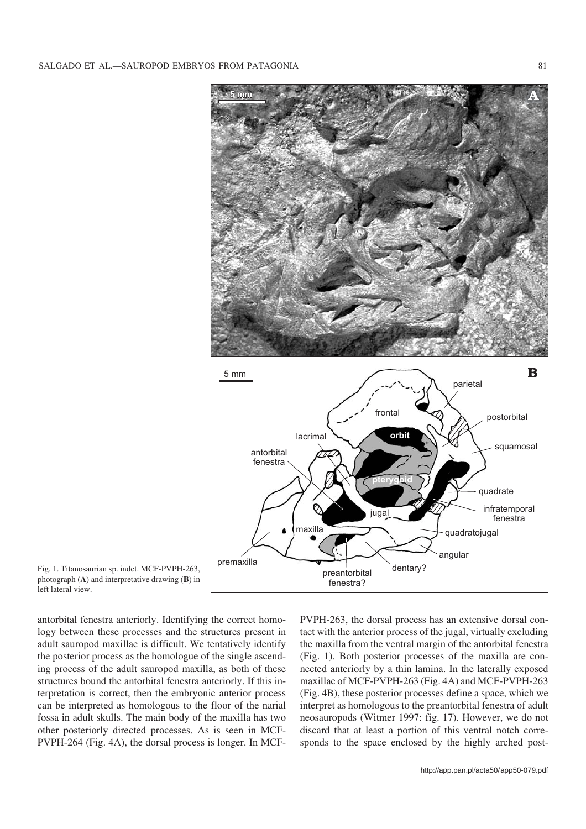

Fig. 1. Titanosaurian sp. indet. MCF−PVPH−263, photograph (**A**) and interpretative drawing (**B**) in left lateral view.

antorbital fenestra anteriorly. Identifying the correct homo− logy between these processes and the structures present in adult sauropod maxillae is difficult. We tentatively identify the posterior process as the homologue of the single ascend− ing process of the adult sauropod maxilla, as both of these structures bound the antorbital fenestra anteriorly. If this in− terpretation is correct, then the embryonic anterior process can be interpreted as homologous to the floor of the narial fossa in adult skulls. The main body of the maxilla has two other posteriorly directed processes. As is seen in MCF− PVPH−264 (Fig. 4A), the dorsal process is longer. In MCF−

PVPH-263, the dorsal process has an extensive dorsal contact with the anterior process of the jugal, virtually excluding the maxilla from the ventral margin of the antorbital fenestra (Fig. 1). Both posterior processes of the maxilla are con− nected anteriorly by a thin lamina. In the laterally exposed maxillae of MCF−PVPH−263 (Fig. 4A) and MCF−PVPH−263 (Fig. 4B), these posterior processes define a space, which we interpret as homologous to the preantorbital fenestra of adult neosauropods (Witmer 1997: fig. 17). However, we do not discard that at least a portion of this ventral notch corre− sponds to the space enclosed by the highly arched post-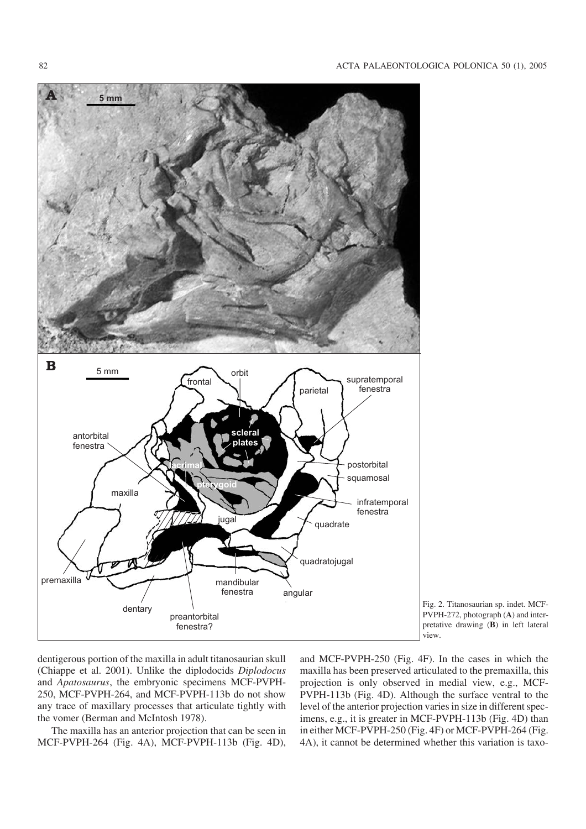

Fig. 2. Titanosaurian sp. indet. MCF− PVPH−272, photograph (**A**) and inter− pretative drawing (**B**) in left lateral view.

dentigerous portion of the maxilla in adult titanosaurian skull (Chiappe et al. 2001). Unlike the diplodocids *Diplodocus* and *Apatosaurus*, the embryonic specimens MCF−PVPH− 250, MCF−PVPH−264, and MCF−PVPH−113b do not show any trace of maxillary processes that articulate tightly with the vomer (Berman and McIntosh 1978).

The maxilla has an anterior projection that can be seen in MCF−PVPH−264 (Fig. 4A), MCF−PVPH−113b (Fig. 4D),

and MCF−PVPH−250 (Fig. 4F). In the cases in which the maxilla has been preserved articulated to the premaxilla, this projection is only observed in medial view, e.g., MCF− PVPH−113b (Fig. 4D). Although the surface ventral to the level of the anterior projection varies in size in different spec− imens, e.g., it is greater in MCF−PVPH−113b (Fig. 4D) than in either MCF−PVPH−250 (Fig. 4F) or MCF−PVPH−264 (Fig. 4A), it cannot be determined whether this variation is taxo−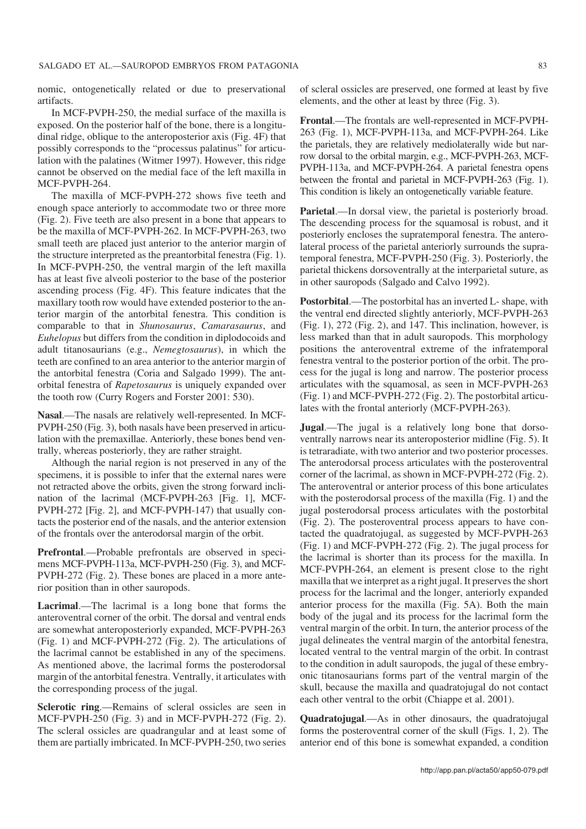nomic, ontogenetically related or due to preservational artifacts.

In MCF−PVPH−250, the medial surface of the maxilla is exposed. On the posterior half of the bone, there is a longitu− dinal ridge, oblique to the anteroposterior axis (Fig. 4F) that possibly corresponds to the "processus palatinus" for articu− lation with the palatines (Witmer 1997). However, this ridge cannot be observed on the medial face of the left maxilla in MCF−PVPH−264.

The maxilla of MCF−PVPH−272 shows five teeth and enough space anteriorly to accommodate two or three more (Fig. 2). Five teeth are also present in a bone that appears to be the maxilla of MCF−PVPH−262. In MCF−PVPH−263, two small teeth are placed just anterior to the anterior margin of the structure interpreted as the preantorbital fenestra (Fig. 1). In MCF−PVPH−250, the ventral margin of the left maxilla has at least five alveoli posterior to the base of the posterior ascending process (Fig. 4F). This feature indicates that the maxillary tooth row would have extended posterior to the an− terior margin of the antorbital fenestra. This condition is comparable to that in *Shunosaurus*, *Camarasaurus*, and *Euhelopus* but differs from the condition in diplodocoids and adult titanosaurians (e.g., *Nemegtosaurus*), in which the teeth are confined to an area anterior to the anterior margin of the antorbital fenestra (Coria and Salgado 1999). The ant− orbital fenestra of *Rapetosaurus* is uniquely expanded over the tooth row (Curry Rogers and Forster 2001: 530).

**Nasal**.—The nasals are relatively well−represented. In MCF− PVPH−250 (Fig. 3), both nasals have been preserved in articu− lation with the premaxillae. Anteriorly, these bones bend ven− trally, whereas posteriorly, they are rather straight.

Although the narial region is not preserved in any of the specimens, it is possible to infer that the external nares were not retracted above the orbits, given the strong forward incli− nation of the lacrimal (MCF−PVPH−263 [Fig. 1], MCF− PVPH−272 [Fig. 2], and MCF−PVPH−147) that usually con− tacts the posterior end of the nasals, and the anterior extension of the frontals over the anterodorsal margin of the orbit.

**Prefrontal**.—Probable prefrontals are observed in speci− mens MCF−PVPH−113a, MCF−PVPH−250 (Fig. 3), and MCF− PVPH−272 (Fig. 2). These bones are placed in a more ante− rior position than in other sauropods.

**Lacrimal**.—The lacrimal is a long bone that forms the anteroventral corner of the orbit. The dorsal and ventral ends are somewhat anteroposteriorly expanded, MCF−PVPH−263 (Fig. 1) and MCF−PVPH−272 (Fig. 2). The articulations of the lacrimal cannot be established in any of the specimens. As mentioned above, the lacrimal forms the posterodorsal margin of the antorbital fenestra. Ventrally, it articulates with the corresponding process of the jugal.

**Sclerotic ring**.—Remains of scleral ossicles are seen in MCF−PVPH−250 (Fig. 3) and in MCF−PVPH−272 (Fig. 2). The scleral ossicles are quadrangular and at least some of them are partially imbricated. In MCF−PVPH−250, two series

of scleral ossicles are preserved, one formed at least by five elements, and the other at least by three (Fig. 3).

**Frontal**.—The frontals are well−represented in MCF−PVPH− 263 (Fig. 1), MCF−PVPH−113a, and MCF−PVPH−264. Like the parietals, they are relatively mediolaterally wide but nar− row dorsal to the orbital margin, e.g., MCF−PVPH−263, MCF− PVPH−113a, and MCF−PVPH−264. A parietal fenestra opens between the frontal and parietal in MCF−PVPH−263 (Fig. 1). This condition is likely an ontogenetically variable feature.

**Parietal**.—In dorsal view, the parietal is posteriorly broad. The descending process for the squamosal is robust, and it posteriorly encloses the supratemporal fenestra. The antero− lateral process of the parietal anteriorly surrounds the supra− temporal fenestra, MCF−PVPH−250 (Fig. 3). Posteriorly, the parietal thickens dorsoventrally at the interparietal suture, as in other sauropods (Salgado and Calvo 1992).

**Postorbital**.—The postorbital has an inverted L− shape, with the ventral end directed slightly anteriorly, MCF−PVPH−263 (Fig. 1), 272 (Fig. 2), and 147. This inclination, however, is less marked than that in adult sauropods. This morphology positions the anteroventral extreme of the infratemporal fenestra ventral to the posterior portion of the orbit. The pro− cess for the jugal is long and narrow. The posterior process articulates with the squamosal, as seen in MCF−PVPH−263 (Fig. 1) and MCF−PVPH−272 (Fig. 2). The postorbital articu− lates with the frontal anteriorly (MCF−PVPH−263).

**Jugal**.—The jugal is a relatively long bone that dorso− ventrally narrows near its anteroposterior midline (Fig. 5). It is tetraradiate, with two anterior and two posterior processes. The anterodorsal process articulates with the posteroventral corner of the lacrimal, as shown in MCF−PVPH−272 (Fig. 2). The anteroventral or anterior process of this bone articulates with the posterodorsal process of the maxilla (Fig. 1) and the jugal posterodorsal process articulates with the postorbital (Fig. 2). The posteroventral process appears to have con− tacted the quadratojugal, as suggested by MCF−PVPH−263 (Fig. 1) and MCF−PVPH−272 (Fig. 2). The jugal process for the lacrimal is shorter than its process for the maxilla. In MCF−PVPH−264, an element is present close to the right maxilla that we interpret as a right jugal. It preserves the short process for the lacrimal and the longer, anteriorly expanded anterior process for the maxilla (Fig. 5A). Both the main body of the jugal and its process for the lacrimal form the ventral margin of the orbit. In turn, the anterior process of the jugal delineates the ventral margin of the antorbital fenestra, located ventral to the ventral margin of the orbit. In contrast to the condition in adult sauropods, the jugal of these embry− onic titanosaurians forms part of the ventral margin of the skull, because the maxilla and quadratojugal do not contact each other ventral to the orbit (Chiappe et al. 2001).

**Quadratojugal**.—As in other dinosaurs, the quadratojugal forms the posteroventral corner of the skull (Figs. 1, 2). The anterior end of this bone is somewhat expanded, a condition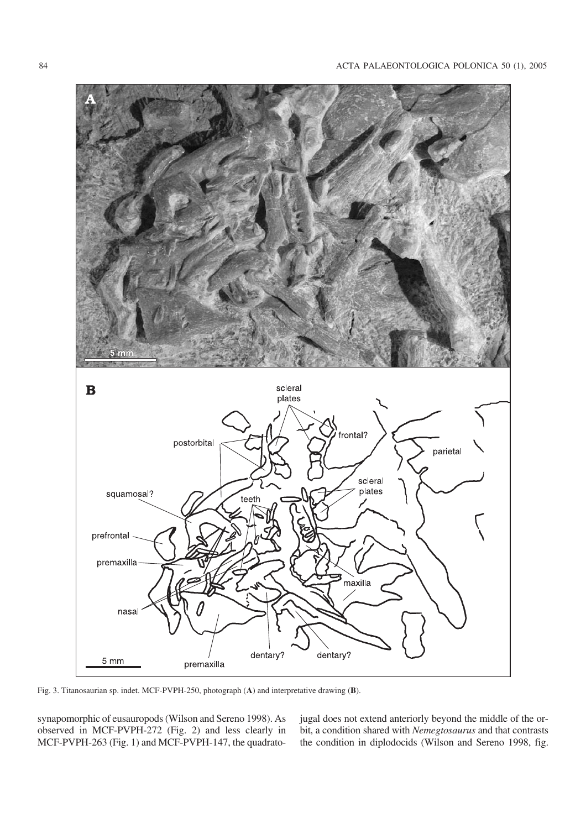

Fig. 3. Titanosaurian sp. indet. MCF−PVPH−250, photograph (**A**) and interpretative drawing (**B**).

synapomorphic of eusauropods (Wilson and Sereno 1998). As observed in MCF−PVPH−272 (Fig. 2) and less clearly in MCF-PVPH-263 (Fig. 1) and MCF-PVPH-147, the quadratojugal does not extend anteriorly beyond the middle of the or− bit, a condition shared with *Nemegtosaurus* and that contrasts the condition in diplodocids (Wilson and Sereno 1998, fig.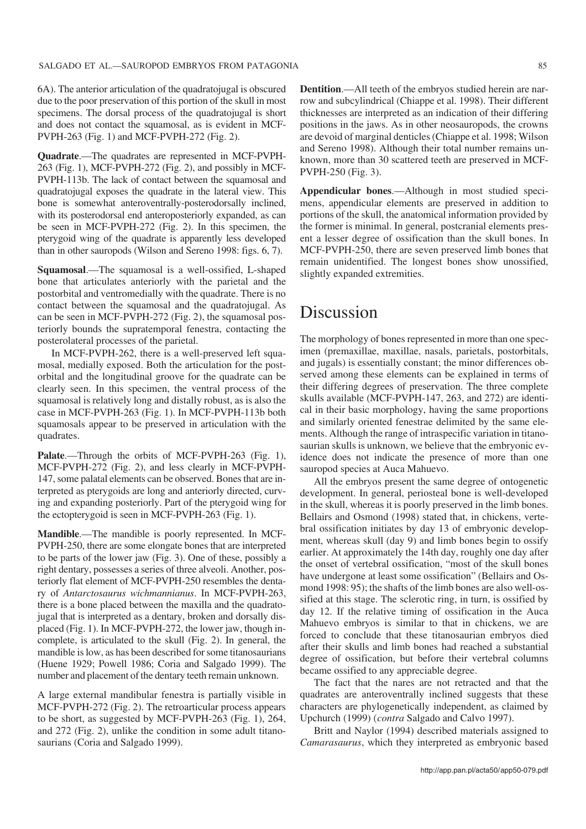6A). The anterior articulation of the quadratojugal is obscured due to the poor preservation of this portion of the skull in most specimens. The dorsal process of the quadratojugal is short and does not contact the squamosal, as is evident in MCF− PVPH−263 (Fig. 1) and MCF−PVPH−272 (Fig. 2).

**Quadrate**.—The quadrates are represented in MCF−PVPH− 263 (Fig. 1), MCF−PVPH−272 (Fig. 2), and possibly in MCF− PVPH−113b. The lack of contact between the squamosal and quadratojugal exposes the quadrate in the lateral view. This bone is somewhat anteroventrally−posterodorsally inclined, with its posterodorsal end anteroposteriorly expanded, as can be seen in MCF−PVPH−272 (Fig. 2). In this specimen, the pterygoid wing of the quadrate is apparently less developed than in other sauropods (Wilson and Sereno 1998: figs. 6, 7).

**Squamosal**.—The squamosal is a well−ossified, L−shaped bone that articulates anteriorly with the parietal and the postorbital and ventromedially with the quadrate. There is no contact between the squamosal and the quadratojugal. As can be seen in MCF−PVPH−272 (Fig. 2), the squamosal pos− teriorly bounds the supratemporal fenestra, contacting the posterolateral processes of the parietal.

In MCF−PVPH−262, there is a well−preserved left squa− mosal, medially exposed. Both the articulation for the post− orbital and the longitudinal groove for the quadrate can be clearly seen. In this specimen, the ventral process of the squamosal is relatively long and distally robust, as is also the case in MCF−PVPH−263 (Fig. 1). In MCF−PVPH−113b both squamosals appear to be preserved in articulation with the quadrates.

**Palate**.—Through the orbits of MCF−PVPH−263 (Fig. 1), MCF−PVPH−272 (Fig. 2), and less clearly in MCF−PVPH− 147, some palatal elements can be observed. Bones that are in− terpreted as pterygoids are long and anteriorly directed, curv− ing and expanding posteriorly. Part of the pterygoid wing for the ectopterygoid is seen in MCF−PVPH−263 (Fig. 1).

**Mandible**.—The mandible is poorly represented. In MCF− PVPH−250, there are some elongate bones that are interpreted to be parts of the lower jaw (Fig. 3). One of these, possibly a right dentary, possesses a series of three alveoli. Another, pos− teriorly flat element of MCF−PVPH−250 resembles the denta− ry of *Antarctosaurus wichmannianus*. In MCF−PVPH−263, there is a bone placed between the maxilla and the quadrato− jugal that is interpreted as a dentary, broken and dorsally dis− placed (Fig. 1). In MCF−PVPH−272, the lower jaw, though in− complete, is articulated to the skull (Fig. 2). In general, the mandible is low, as has been described for some titanosaurians (Huene 1929; Powell 1986; Coria and Salgado 1999). The number and placement of the dentary teeth remain unknown.

A large external mandibular fenestra is partially visible in MCF−PVPH−272 (Fig. 2). The retroarticular process appears to be short, as suggested by MCF−PVPH−263 (Fig. 1), 264, and 272 (Fig. 2), unlike the condition in some adult titano− saurians (Coria and Salgado 1999).

**Dentition**.—All teeth of the embryos studied herein are nar− row and subcylindrical (Chiappe et al. 1998). Their different thicknesses are interpreted as an indication of their differing positions in the jaws. As in other neosauropods, the crowns are devoid of marginal denticles (Chiappe et al. 1998; Wilson and Sereno 1998). Although their total number remains un− known, more than 30 scattered teeth are preserved in MCF− PVPH−250 (Fig. 3).

**Appendicular bones**.—Although in most studied speci− mens, appendicular elements are preserved in addition to portions of the skull, the anatomical information provided by the former is minimal. In general, postcranial elements pres− ent a lesser degree of ossification than the skull bones. In MCF-PVPH-250, there are seven preserved limb bones that remain unidentified. The longest bones show unossified, slightly expanded extremities.

### Discussion

The morphology of bones represented in more than one spec− imen (premaxillae, maxillae, nasals, parietals, postorbitals, and jugals) is essentially constant; the minor differences ob− served among these elements can be explained in terms of their differing degrees of preservation. The three complete skulls available (MCF−PVPH−147, 263, and 272) are identi− cal in their basic morphology, having the same proportions and similarly oriented fenestrae delimited by the same ele− ments. Although the range of intraspecific variation in titano− saurian skulls is unknown, we believe that the embryonic ev− idence does not indicate the presence of more than one sauropod species at Auca Mahuevo.

All the embryos present the same degree of ontogenetic development. In general, periosteal bone is well−developed in the skull, whereas it is poorly preserved in the limb bones. Bellairs and Osmond (1998) stated that, in chickens, verte− bral ossification initiates by day 13 of embryonic develop− ment, whereas skull (day 9) and limb bones begin to ossify earlier. At approximately the 14th day, roughly one day after the onset of vertebral ossification, "most of the skull bones have undergone at least some ossification" (Bellairs and Os− mond 1998: 95); the shafts of the limb bones are also well−os− sified at this stage. The sclerotic ring, in turn, is ossified by day 12. If the relative timing of ossification in the Auca Mahuevo embryos is similar to that in chickens, we are forced to conclude that these titanosaurian embryos died after their skulls and limb bones had reached a substantial degree of ossification, but before their vertebral columns became ossified to any appreciable degree.

The fact that the nares are not retracted and that the quadrates are anteroventrally inclined suggests that these characters are phylogenetically independent, as claimed by Upchurch (1999) (*contra* Salgado and Calvo 1997).

Britt and Naylor (1994) described materials assigned to *Camarasaurus*, which they interpreted as embryonic based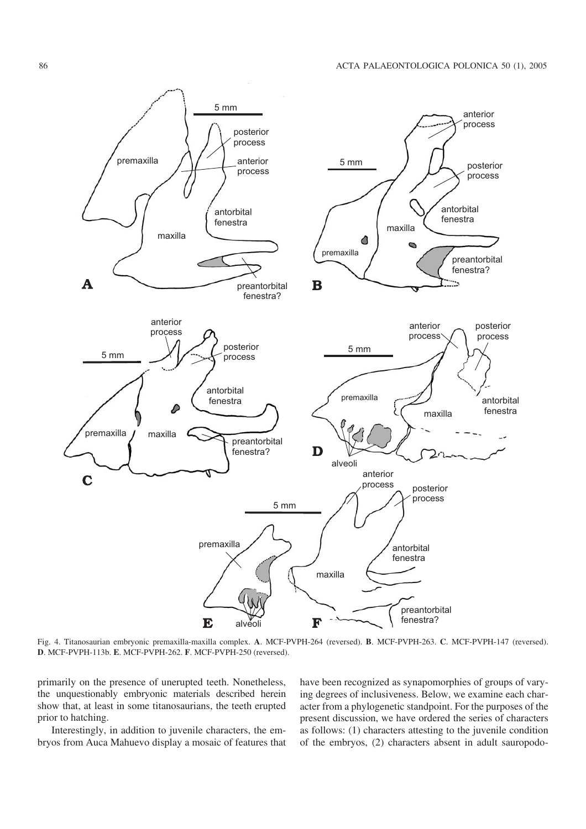

Fig. 4. Titanosaurian embryonic premaxilla−maxilla complex. **A**. MCF−PVPH−264 (reversed). **B**. MCF−PVPH−263. **C**. MCF−PVPH−147 (reversed). **D**. MCF−PVPH−113b. **E**. MCF−PVPH−262. **F**. MCF−PVPH−250 (reversed).

primarily on the presence of unerupted teeth. Nonetheless, the unquestionably embryonic materials described herein show that, at least in some titanosaurians, the teeth erupted prior to hatching.

Interestingly, in addition to juvenile characters, the em− bryos from Auca Mahuevo display a mosaic of features that have been recognized as synapomorphies of groups of vary− ing degrees of inclusiveness. Below, we examine each char− acter from a phylogenetic standpoint. For the purposes of the present discussion, we have ordered the series of characters as follows: (1) characters attesting to the juvenile condition of the embryos, (2) characters absent in adult sauropodo−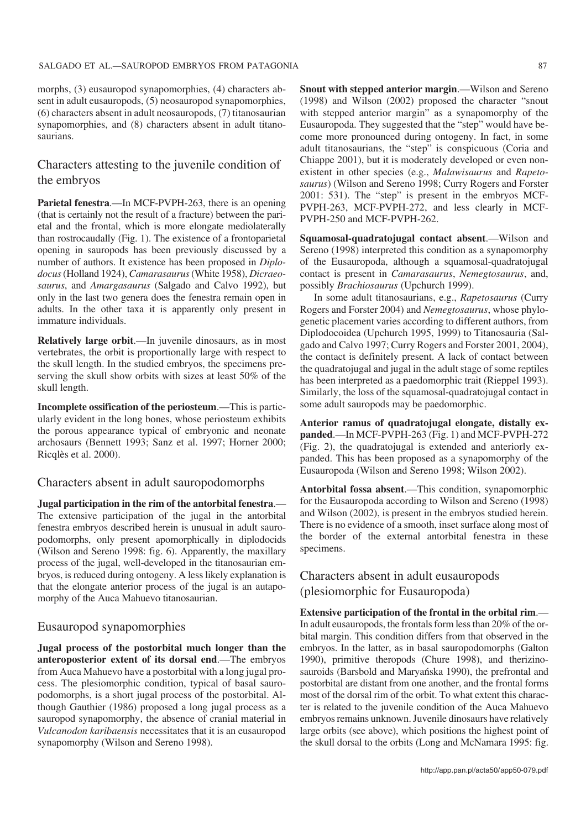morphs, (3) eusauropod synapomorphies, (4) characters ab− sent in adult eusauropods, (5) neosauropod synapomorphies, (6) characters absent in adult neosauropods, (7) titanosaurian synapomorphies, and (8) characters absent in adult titanosaurians.

#### Characters attesting to the juvenile condition of the embryos

**Parietal fenestra**.—In MCF−PVPH−263, there is an opening (that is certainly not the result of a fracture) between the pari− etal and the frontal, which is more elongate mediolaterally than rostrocaudally (Fig. 1). The existence of a frontoparietal opening in sauropods has been previously discussed by a number of authors. It existence has been proposed in *Diplo− docus*(Holland 1924), *Camarasaurus*(White 1958), *Dicraeo− saurus*, and *Amargasaurus* (Salgado and Calvo 1992), but only in the last two genera does the fenestra remain open in adults. In the other taxa it is apparently only present in immature individuals.

**Relatively large orbit**.—In juvenile dinosaurs, as in most vertebrates, the orbit is proportionally large with respect to the skull length. In the studied embryos, the specimens pre− serving the skull show orbits with sizes at least 50% of the skull length.

**Incomplete ossification of the periosteum**.—This is partic− ularly evident in the long bones, whose periosteum exhibits the porous appearance typical of embryonic and neonate archosaurs (Bennett 1993; Sanz et al. 1997; Horner 2000; Ricqlès et al. 2000).

#### Characters absent in adult sauropodomorphs

**Jugal participation in the rim of the antorbital fenestra**.— The extensive participation of the jugal in the antorbital fenestra embryos described herein is unusual in adult sauro− podomorphs, only present apomorphically in diplodocids (Wilson and Sereno 1998: fig. 6). Apparently, the maxillary process of the jugal, well−developed in the titanosaurian em− bryos, is reduced during ontogeny. A less likely explanation is that the elongate anterior process of the jugal is an autapo− morphy of the Auca Mahuevo titanosaurian.

#### Eusauropod synapomorphies

**Jugal process of the postorbital much longer than the anteroposterior extent of its dorsal end**.—The embryos from Auca Mahuevo have a postorbital with a long jugal pro− cess. The plesiomorphic condition, typical of basal sauro− podomorphs, is a short jugal process of the postorbital. Al− though Gauthier (1986) proposed a long jugal process as a sauropod synapomorphy, the absence of cranial material in *Vulcanodon karibaensis* necessitates that it is an eusauropod synapomorphy (Wilson and Sereno 1998).

**Snout with stepped anterior margin**.—Wilson and Sereno (1998) and Wilson (2002) proposed the character "snout with stepped anterior margin" as a synapomorphy of the Eusauropoda. They suggested that the "step" would have be− come more pronounced during ontogeny. In fact, in some adult titanosaurians, the "step" is conspicuous (Coria and Chiappe 2001), but it is moderately developed or even non− existent in other species (e.g., *Malawisaurus* and *Rapeto− saurus*) (Wilson and Sereno 1998; Curry Rogers and Forster 2001: 531). The "step" is present in the embryos MCF− PVPH−263, MCF−PVPH−272, and less clearly in MCF− PVPH−250 and MCF−PVPH−262.

**Squamosal−quadratojugal contact absent**.—Wilson and Sereno (1998) interpreted this condition as a synapomorphy of the Eusauropoda, although a squamosal−quadratojugal contact is present in *Camarasaurus*, *Nemegtosaurus*, and, possibly *Brachiosaurus* (Upchurch 1999).

In some adult titanosaurians, e.g., *Rapetosaurus* (Curry Rogers and Forster 2004) and *Nemegtosaurus*, whose phylo− genetic placement varies according to different authors, from Diplodocoidea (Upchurch 1995, 1999) to Titanosauria (Sal− gado and Calvo 1997; Curry Rogers and Forster 2001, 2004), the contact is definitely present. A lack of contact between the quadratojugal and jugal in the adult stage of some reptiles has been interpreted as a paedomorphic trait (Rieppel 1993). Similarly, the loss of the squamosal−quadratojugal contact in some adult sauropods may be paedomorphic.

**Anterior ramus of quadratojugal elongate, distally ex− panded**.—In MCF−PVPH−263 (Fig. 1) and MCF−PVPH−272 (Fig. 2), the quadratojugal is extended and anteriorly ex− panded. This has been proposed as a synapomorphy of the Eusauropoda (Wilson and Sereno 1998; Wilson 2002).

**Antorbital fossa absent**.—This condition, synapomorphic for the Eusauropoda according to Wilson and Sereno (1998) and Wilson (2002), is present in the embryos studied herein. There is no evidence of a smooth, inset surface along most of the border of the external antorbital fenestra in these specimens.

### Characters absent in adult eusauropods (plesiomorphic for Eusauropoda)

**Extensive participation of the frontal in the orbital rim**.— In adult eusauropods, the frontals form less than 20% of the or− bital margin. This condition differs from that observed in the embryos. In the latter, as in basal sauropodomorphs (Galton 1990), primitive theropods (Chure 1998), and therizino− sauroids (Barsbold and Maryańska 1990), the prefrontal and postorbital are distant from one another, and the frontal forms most of the dorsal rim of the orbit. To what extent this charac− ter is related to the juvenile condition of the Auca Mahuevo embryos remains unknown. Juvenile dinosaurs have relatively large orbits (see above), which positions the highest point of the skull dorsal to the orbits (Long and McNamara 1995: fig.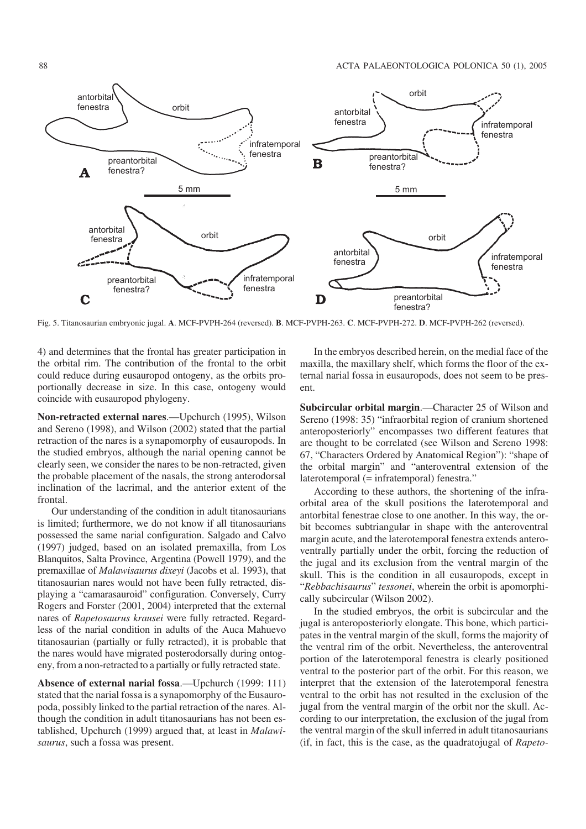

Fig. 5. Titanosaurian embryonic jugal. **A**. MCF−PVPH−264 (reversed). **B**. MCF−PVPH−263. **C**. MCF−PVPH−272. **D**. MCF−PVPH−262 (reversed).

4) and determines that the frontal has greater participation in the orbital rim. The contribution of the frontal to the orbit could reduce during eusauropod ontogeny, as the orbits pro− portionally decrease in size. In this case, ontogeny would coincide with eusauropod phylogeny.

**Non−retracted external nares**.—Upchurch (1995), Wilson and Sereno (1998), and Wilson (2002) stated that the partial retraction of the nares is a synapomorphy of eusauropods. In the studied embryos, although the narial opening cannot be clearly seen, we consider the nares to be non−retracted, given the probable placement of the nasals, the strong anterodorsal inclination of the lacrimal, and the anterior extent of the frontal.

Our understanding of the condition in adult titanosaurians is limited; furthermore, we do not know if all titanosaurians possessed the same narial configuration. Salgado and Calvo (1997) judged, based on an isolated premaxilla, from Los Blanquitos, Salta Province, Argentina (Powell 1979), and the premaxillae of *Malawisaurus dixeyi* (Jacobs et al. 1993), that titanosaurian nares would not have been fully retracted, dis− playing a "camarasauroid" configuration. Conversely, Curry Rogers and Forster (2001, 2004) interpreted that the external nares of *Rapetosaurus krausei* were fully retracted. Regard− less of the narial condition in adults of the Auca Mahuevo titanosaurian (partially or fully retracted), it is probable that the nares would have migrated posterodorsally during ontog− eny, from a non−retracted to a partially or fully retracted state.

**Absence of external narial fossa**.—Upchurch (1999: 111) stated that the narial fossa is a synapomorphy of the Eusauro− poda, possibly linked to the partial retraction of the nares. Al− though the condition in adult titanosaurians has not been es− tablished, Upchurch (1999) argued that, at least in *Malawi− saurus*, such a fossa was present.

In the embryos described herein, on the medial face of the maxilla, the maxillary shelf, which forms the floor of the ex− ternal narial fossa in eusauropods, does not seem to be pres− ent.

**Subcircular orbital margin**.—Character 25 of Wilson and Sereno (1998: 35) "infraorbital region of cranium shortened anteroposteriorly" encompasses two different features that are thought to be correlated (see Wilson and Sereno 1998: 67, "Characters Ordered by Anatomical Region"): "shape of the orbital margin" and "anteroventral extension of the laterotemporal (= infratemporal) fenestra."

According to these authors, the shortening of the infra− orbital area of the skull positions the laterotemporal and antorbital fenestrae close to one another. In this way, the or− bit becomes subtriangular in shape with the anteroventral margin acute, and the laterotemporal fenestra extends antero− ventrally partially under the orbit, forcing the reduction of the jugal and its exclusion from the ventral margin of the skull. This is the condition in all eusauropods, except in "*Rebbachisaurus*" *tessonei*, wherein the orbit is apomorphi− cally subcircular (Wilson 2002).

In the studied embryos, the orbit is subcircular and the jugal is anteroposteriorly elongate. This bone, which partici− pates in the ventral margin of the skull, forms the majority of the ventral rim of the orbit. Nevertheless, the anteroventral portion of the laterotemporal fenestra is clearly positioned ventral to the posterior part of the orbit. For this reason, we interpret that the extension of the laterotemporal fenestra ventral to the orbit has not resulted in the exclusion of the jugal from the ventral margin of the orbit nor the skull. Ac− cording to our interpretation, the exclusion of the jugal from the ventral margin of the skull inferred in adult titanosaurians (if, in fact, this is the case, as the quadratojugal of *Rapeto−*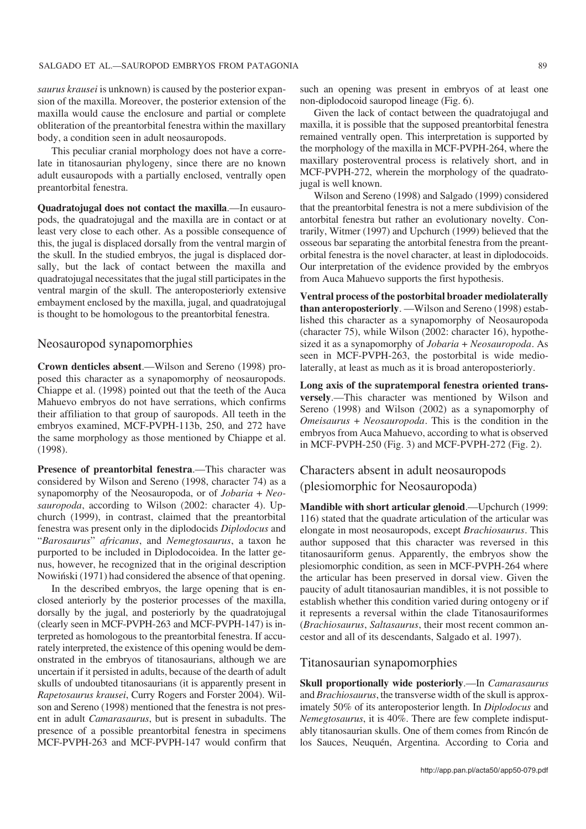*saurus krausei* is unknown) is caused by the posterior expan− sion of the maxilla. Moreover, the posterior extension of the maxilla would cause the enclosure and partial or complete obliteration of the preantorbital fenestra within the maxillary body, a condition seen in adult neosauropods.

This peculiar cranial morphology does not have a corre− late in titanosaurian phylogeny, since there are no known adult eusauropods with a partially enclosed, ventrally open preantorbital fenestra.

**Quadratojugal does not contact the maxilla**.—In eusauro− pods, the quadratojugal and the maxilla are in contact or at least very close to each other. As a possible consequence of this, the jugal is displaced dorsally from the ventral margin of the skull. In the studied embryos, the jugal is displaced dor− sally, but the lack of contact between the maxilla and quadratojugal necessitates that the jugal still participates in the ventral margin of the skull. The anteroposteriorly extensive embayment enclosed by the maxilla, jugal, and quadratojugal is thought to be homologous to the preantorbital fenestra.

#### Neosauropod synapomorphies

**Crown denticles absent**.—Wilson and Sereno (1998) pro− posed this character as a synapomorphy of neosauropods. Chiappe et al. (1998) pointed out that the teeth of the Auca Mahuevo embryos do not have serrations, which confirms their affiliation to that group of sauropods. All teeth in the embryos examined, MCF−PVPH−113b, 250, and 272 have the same morphology as those mentioned by Chiappe et al. (1998).

**Presence of preantorbital fenestra**.—This character was considered by Wilson and Sereno (1998, character 74) as a synapomorphy of the Neosauropoda, or of *Jobaria* + *Neo− sauropoda*, according to Wilson (2002: character 4). Up− church (1999), in contrast, claimed that the preantorbital fenestra was present only in the diplodocids *Diplodocus* and "*Barosaurus*" *africanus*, and *Nemegtosaurus*, a taxon he purported to be included in Diplodocoidea. In the latter ge− nus, however, he recognized that in the original description Nowiński (1971) had considered the absence of that opening.

In the described embryos, the large opening that is en− closed anteriorly by the posterior processes of the maxilla, dorsally by the jugal, and posteriorly by the quadratojugal (clearly seen in MCF−PVPH−263 and MCF−PVPH−147) is in− terpreted as homologous to the preantorbital fenestra. If accu− rately interpreted, the existence of this opening would be dem− onstrated in the embryos of titanosaurians, although we are uncertain if it persisted in adults, because of the dearth of adult skulls of undoubted titanosaurians (it is apparently present in *Rapetosaurus krausei*, Curry Rogers and Forster 2004). Wil− son and Sereno (1998) mentioned that the fenestra is not pres− ent in adult *Camarasaurus*, but is present in subadults. The presence of a possible preantorbital fenestra in specimens MCF−PVPH−263 and MCF−PVPH−147 would confirm that such an opening was present in embryos of at least one non−diplodocoid sauropod lineage (Fig. 6).

Given the lack of contact between the quadratojugal and maxilla, it is possible that the supposed preantorbital fenestra remained ventrally open. This interpretation is supported by the morphology of the maxilla in MCF−PVPH−264, where the maxillary posteroventral process is relatively short, and in MCF-PVPH-272, wherein the morphology of the quadratojugal is well known.

Wilson and Sereno (1998) and Salgado (1999) considered that the preantorbital fenestra is not a mere subdivision of the antorbital fenestra but rather an evolutionary novelty. Con− trarily, Witmer (1997) and Upchurch (1999) believed that the osseous bar separating the antorbital fenestra from the preant− orbital fenestra is the novel character, at least in diplodocoids. Our interpretation of the evidence provided by the embryos from Auca Mahuevo supports the first hypothesis.

**Ventral process of the postorbital broader mediolaterally than anteroposteriorly**. —Wilson and Sereno (1998) estab− lished this character as a synapomorphy of Neosauropoda (character 75), while Wilson (2002: character 16), hypothe− sized it as a synapomorphy of *Jobaria* + *Neosauropoda*. As seen in MCF-PVPH-263, the postorbital is wide mediolaterally, at least as much as it is broad anteroposteriorly.

**Long axis of the supratemporal fenestra oriented trans− versely**.—This character was mentioned by Wilson and Sereno (1998) and Wilson (2002) as a synapomorphy of *Omeisaurus* + *Neosauropoda*. This is the condition in the embryos from Auca Mahuevo, according to what is observed in MCF−PVPH−250 (Fig. 3) and MCF−PVPH−272 (Fig. 2).

### Characters absent in adult neosauropods (plesiomorphic for Neosauropoda)

**Mandible with short articular glenoid**.—Upchurch (1999: 116) stated that the quadrate articulation of the articular was elongate in most neosauropods, except *Brachiosaurus*. This author supposed that this character was reversed in this titanosauriform genus. Apparently, the embryos show the plesiomorphic condition, as seen in MCF−PVPH−264 where the articular has been preserved in dorsal view. Given the paucity of adult titanosaurian mandibles, it is not possible to establish whether this condition varied during ontogeny or if it represents a reversal within the clade Titanosauriformes (*Brachiosaurus*, *Saltasaurus*, their most recent common an− cestor and all of its descendants, Salgado et al. 1997).

#### Titanosaurian synapomorphies

**Skull proportionally wide posteriorly**.—In *Camarasaurus* and *Brachiosaurus*, the transverse width of the skull is approx− imately 50% of its anteroposterior length. In *Diplodocus* and *Nemegtosaurus*, it is 40%. There are few complete indisput− ably titanosaurian skulls. One of them comes from Rincón de los Sauces, Neuquén, Argentina. According to Coria and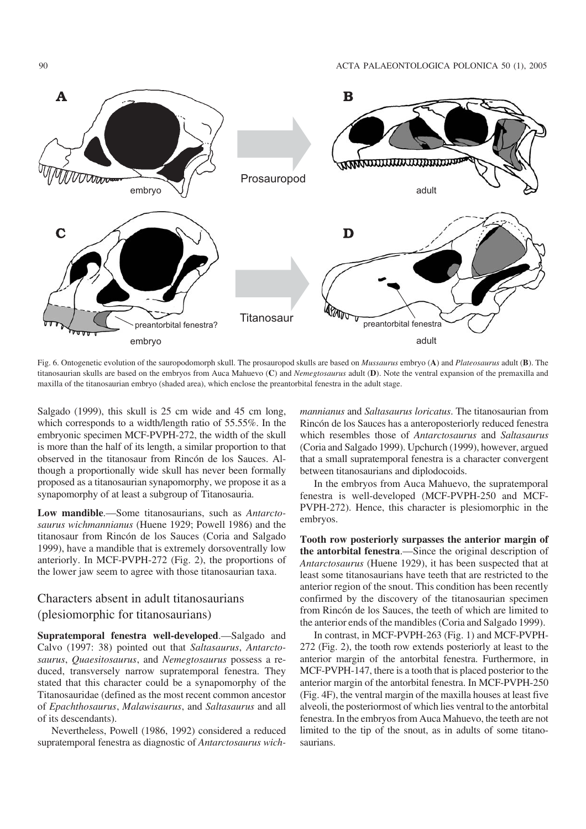

Fig. 6. Ontogenetic evolution of the sauropodomorph skull. The prosauropod skulls are based on *Mussaurus* embryo (**A**) and *Plateosaurus* adult (**B**). The titanosaurian skulls are based on the embryos from Auca Mahuevo (**C**) and *Nemegtosaurus* adult (**D**). Note the ventral expansion of the premaxilla and maxilla of the titanosaurian embryo (shaded area), which enclose the preantorbital fenestra in the adult stage.

Salgado (1999), this skull is 25 cm wide and 45 cm long, which corresponds to a width/length ratio of 55.55%. In the embryonic specimen MCF−PVPH−272, the width of the skull is more than the half of its length, a similar proportion to that observed in the titanosaur from Rincón de los Sauces. Al− though a proportionally wide skull has never been formally proposed as a titanosaurian synapomorphy, we propose it as a synapomorphy of at least a subgroup of Titanosauria.

**Low mandible**.—Some titanosaurians, such as *Antarcto− saurus wichmannianus* (Huene 1929; Powell 1986) and the titanosaur from Rincón de los Sauces (Coria and Salgado 1999), have a mandible that is extremely dorsoventrally low anteriorly. In MCF−PVPH−272 (Fig. 2), the proportions of the lower jaw seem to agree with those titanosaurian taxa.

### Characters absent in adult titanosaurians (plesiomorphic for titanosaurians)

**Supratemporal fenestra well−developed**.—Salgado and Calvo (1997: 38) pointed out that *Saltasaurus*, *Antarcto− saurus*, *Quaesitosaurus*, and *Nemegtosaurus* possess a re− duced, transversely narrow supratemporal fenestra. They stated that this character could be a synapomorphy of the Titanosauridae (defined as the most recent common ancestor of *Epachthosaurus*, *Malawisaurus*, and *Saltasaurus* and all of its descendants).

Nevertheless, Powell (1986, 1992) considered a reduced supratemporal fenestra as diagnostic of *Antarctosaurus wich−* *mannianus* and *Saltasaurus loricatus*. The titanosaurian from Rincón de los Sauces has a anteroposteriorly reduced fenestra which resembles those of *Antarctosaurus* and *Saltasaurus* (Coria and Salgado 1999). Upchurch (1999), however, argued that a small supratemporal fenestra is a character convergent between titanosaurians and diplodocoids.

In the embryos from Auca Mahuevo, the supratemporal fenestra is well−developed (MCF−PVPH−250 and MCF− PVPH−272). Hence, this character is plesiomorphic in the embryos.

**Tooth row posteriorly surpasses the anterior margin of the antorbital fenestra**.—Since the original description of *Antarctosaurus* (Huene 1929), it has been suspected that at least some titanosaurians have teeth that are restricted to the anterior region of the snout. This condition has been recently confirmed by the discovery of the titanosaurian specimen from Rincón de los Sauces, the teeth of which are limited to the anterior ends of the mandibles (Coria and Salgado 1999).

In contrast, in MCF−PVPH−263 (Fig. 1) and MCF−PVPH− 272 (Fig. 2), the tooth row extends posteriorly at least to the anterior margin of the antorbital fenestra. Furthermore, in MCF-PVPH-147, there is a tooth that is placed posterior to the anterior margin of the antorbital fenestra. In MCF−PVPH−250 (Fig. 4F), the ventral margin of the maxilla houses at least five alveoli, the posteriormost of which lies ventral to the antorbital fenestra. In the embryos from Auca Mahuevo, the teeth are not limited to the tip of the snout, as in adults of some titano− saurians.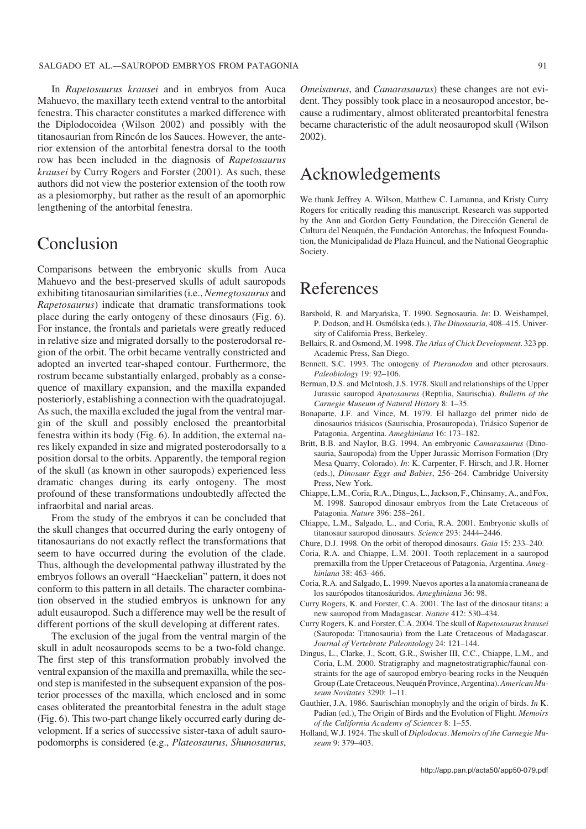#### SALGADO ET AL.—SAUROPOD EMBRYOS FROM PATAGONIA 91

In *Rapetosaurus krausei* and in embryos from Auca Mahuevo, the maxillary teeth extend ventral to the antorbital fenestra. This character constitutes a marked difference with the Diplodocoidea (Wilson 2002) and possibly with the titanosaurian from Rincón de los Sauces. However, the ante− rior extension of the antorbital fenestra dorsal to the tooth row has been included in the diagnosis of *Rapetosaurus krausei* by Curry Rogers and Forster (2001). As such, these authors did not view the posterior extension of the tooth row as a plesiomorphy, but rather as the result of an apomorphic lengthening of the antorbital fenestra.

### Conclusion

Comparisons between the embryonic skulls from Auca Mahuevo and the best−preserved skulls of adult sauropods exhibiting titanosaurian similarities (i.e., *Nemegtosaurus* and *Rapetosaurus*) indicate that dramatic transformations took place during the early ontogeny of these dinosaurs (Fig. 6). For instance, the frontals and parietals were greatly reduced in relative size and migrated dorsally to the posterodorsal re− gion of the orbit. The orbit became ventrally constricted and adopted an inverted tear−shaped contour. Furthermore, the rostrum became substantially enlarged, probably as a conse− quence of maxillary expansion, and the maxilla expanded posteriorly, establishing a connection with the quadratojugal. As such, the maxilla excluded the jugal from the ventral mar− gin of the skull and possibly enclosed the preantorbital fenestra within its body (Fig. 6). In addition, the external na− res likely expanded in size and migrated posterodorsally to a position dorsal to the orbits. Apparently, the temporal region of the skull (as known in other sauropods) experienced less dramatic changes during its early ontogeny. The most profound of these transformations undoubtedly affected the infraorbital and narial areas.

From the study of the embryos it can be concluded that the skull changes that occurred during the early ontogeny of titanosaurians do not exactly reflect the transformations that seem to have occurred during the evolution of the clade. Thus, although the developmental pathway illustrated by the embryos follows an overall "Haeckelian" pattern, it does not conform to this pattern in all details. The character combina− tion observed in the studied embryos is unknown for any adult eusauropod. Such a difference may well be the result of different portions of the skull developing at different rates.

The exclusion of the jugal from the ventral margin of the skull in adult neosauropods seems to be a two−fold change. The first step of this transformation probably involved the ventral expansion of the maxilla and premaxilla, while the sec− ond step is manifested in the subsequent expansion of the pos− terior processes of the maxilla, which enclosed and in some cases obliterated the preantorbital fenestra in the adult stage (Fig. 6). This two−part change likely occurred early during de− velopment. If a series of successive sister−taxa of adult sauro− podomorphs is considered (e.g., *Plateosaurus*, *Shunosaurus*,

*Omeisaurus*, and *Camarasaurus*) these changes are not evi− dent. They possibly took place in a neosauropod ancestor, be− cause a rudimentary, almost obliterated preantorbital fenestra became characteristic of the adult neosauropod skull (Wilson 2002).

## Acknowledgements

We thank Jeffrey A. Wilson, Matthew C. Lamanna, and Kristy Curry Rogers for critically reading this manuscript. Research was supported by the Ann and Gordon Getty Foundation, the Dirección General de Cultura del Neuquén, the Fundación Antorchas, the Infoquest Founda− tion, the Municipalidad de Plaza Huincul, and the National Geographic Society.

## References

- Barsbold, R. and Maryańska, T. 1990. Segnosauria. *In*: D. Weishampel, P. Dodson, and H. Osmólska (eds.), *The Dinosauria*, 408–415. Univer− sity of California Press, Berkeley.
- Bellairs, R. and Osmond, M. 1998. *The Atlas of Chick Development*. 323 pp. Academic Press, San Diego.
- Bennett, S.C. 1993. The ontogeny of *Pteranodon* and other pterosaurs. *Paleobiology* 19: 92–106.
- Berman, D.S. and McIntosh, J.S. 1978. Skull and relationships of the Upper Jurassic sauropod *Apatosaurus* (Reptilia, Saurischia). *Bulletin of the Carnegie Museum of Natural History* 8: 1–35.
- Bonaparte, J.F. and Vince, M. 1979. El hallazgo del primer nido de dinosaurios triásicos (Saurischia, Prosauropoda), Triásico Superior de Patagonia, Argentina. *Ameghiniana* 16: 173–182.
- Britt, B.B. and Naylor, B.G. 1994. An embryonic *Camarasaurus* (Dino− sauria, Sauropoda) from the Upper Jurassic Morrison Formation (Dry Mesa Quarry, Colorado). *In*: K. Carpenter, F. Hirsch, and J.R. Horner (eds.), *Dinosaur Eggs and Babies*, 256–264. Cambridge University Press, New York.
- Chiappe, L.M., Coria, R.A., Dingus, L., Jackson, F., Chinsamy, A., and Fox, M. 1998. Sauropod dinosaur embryos from the Late Cretaceous of Patagonia. *Nature* 396: 258–261.
- Chiappe, L.M., Salgado, L., and Coria, R.A. 2001. Embryonic skulls of titanosaur sauropod dinosaurs. *Science* 293: 2444–2446.
- Chure, D.J. 1998. On the orbit of theropod dinosaurs. *Gaia* 15: 233–240.
- Coria, R.A. and Chiappe, L.M. 2001. Tooth replacement in a sauropod premaxilla from the Upper Cretaceous of Patagonia, Argentina. *Ameg− hiniana* 38: 463–466.
- Coria, R.A. and Salgado, L. 1999. Nuevos aportes a la anatomía craneana de los saurópodos titanosáuridos. *Ameghiniana* 36: 98.
- Curry Rogers, K. and Forster, C.A. 2001. The last of the dinosaur titans: a new sauropod from Madagascar. *Nature* 412: 530–434.
- Curry Rogers, K. and Forster, C.A. 2004. The skull of *Rapetosaurus krausei* (Sauropoda: Titanosauria) from the Late Cretaceous of Madagascar. *Journal of Vertebrate Paleontology* 24: 121–144.
- Dingus, L., Clarke, J., Scott, G.R., Swisher III, C.C., Chiappe, L.M., and Coria, L.M. 2000. Stratigraphy and magnetostratigraphic/faunal con− straints for the age of sauropod embryo−bearing rocks in the Neuquén Group (Late Cretaceous, Neuquén Province, Argentina). *American Mu− seum Novitates* 3290: 1–11.
- Gauthier, J.A. 1986. Saurischian monophyly and the origin of birds. *In* K. Padian (ed.), The Origin of Birds and the Evolution of Flight. *Memoirs of the California Academy of Sciences* 8: 1–55.
- Holland, W.J. 1924. The skull of *Diplodocus*. *Memoirs of the Carnegie Mu− seum* 9: 379–403.